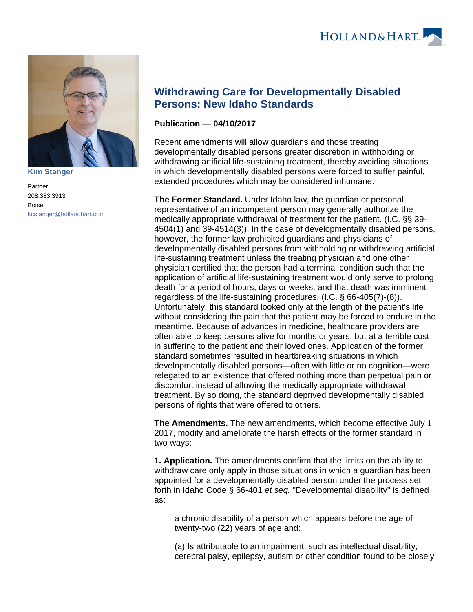

**[Kim Stanger](https://www.hollandhart.com/15954)**

Partner 208.383.3913 Boise [kcstanger@hollandhart.com](mailto:kcstanger@hollandhart.com)

## **Withdrawing Care for Developmentally Disabled Persons: New Idaho Standards**

## **Publication — 04/10/2017**

Recent amendments will allow guardians and those treating developmentally disabled persons greater discretion in withholding or withdrawing artificial life-sustaining treatment, thereby avoiding situations in which developmentally disabled persons were forced to suffer painful, extended procedures which may be considered inhumane.

**The Former Standard.** Under Idaho law, the guardian or personal representative of an incompetent person may generally authorize the medically appropriate withdrawal of treatment for the patient. (I.C. §§ 39- 4504(1) and 39-4514(3)). In the case of developmentally disabled persons, however, the former law prohibited guardians and physicians of developmentally disabled persons from withholding or withdrawing artificial life-sustaining treatment unless the treating physician and one other physician certified that the person had a terminal condition such that the application of artificial life-sustaining treatment would only serve to prolong death for a period of hours, days or weeks, and that death was imminent regardless of the life-sustaining procedures. (I.C. § 66-405(7)-(8)). Unfortunately, this standard looked only at the length of the patient's life without considering the pain that the patient may be forced to endure in the meantime. Because of advances in medicine, healthcare providers are often able to keep persons alive for months or years, but at a terrible cost in suffering to the patient and their loved ones. Application of the former standard sometimes resulted in heartbreaking situations in which developmentally disabled persons—often with little or no cognition—were relegated to an existence that offered nothing more than perpetual pain or discomfort instead of allowing the medically appropriate withdrawal treatment. By so doing, the standard deprived developmentally disabled persons of rights that were offered to others.

**The Amendments.** The new amendments, which become effective July 1, 2017, modify and ameliorate the harsh effects of the former standard in two ways:

**1. Application.** The amendments confirm that the limits on the ability to withdraw care only apply in those situations in which a guardian has been appointed for a developmentally disabled person under the process set forth in Idaho Code § 66-401 et seq. "Developmental disability" is defined as:

a chronic disability of a person which appears before the age of twenty-two (22) years of age and:

(a) Is attributable to an impairment, such as intellectual disability, cerebral palsy, epilepsy, autism or other condition found to be closely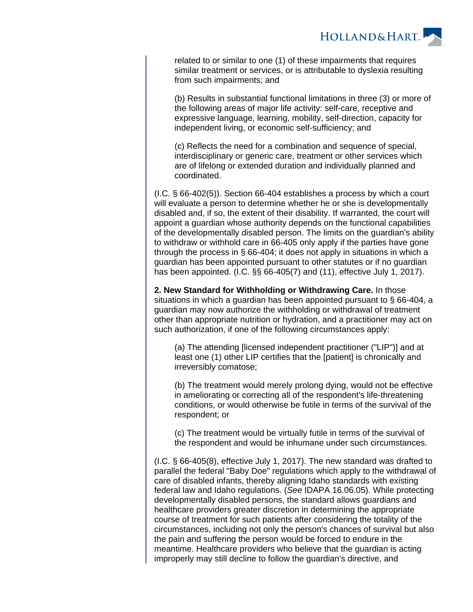

related to or similar to one (1) of these impairments that requires similar treatment or services, or is attributable to dyslexia resulting from such impairments; and

(b) Results in substantial functional limitations in three (3) or more of the following areas of major life activity: self-care, receptive and expressive language, learning, mobility, self-direction, capacity for independent living, or economic self-sufficiency; and

(c) Reflects the need for a combination and sequence of special, interdisciplinary or generic care, treatment or other services which are of lifelong or extended duration and individually planned and coordinated.

(I.C. § 66-402(5)). Section 66-404 establishes a process by which a court will evaluate a person to determine whether he or she is developmentally disabled and, if so, the extent of their disability. If warranted, the court will appoint a guardian whose authority depends on the functional capabilities of the developmentally disabled person. The limits on the guardian's ability to withdraw or withhold care in 66-405 only apply if the parties have gone through the process in § 66-404; it does not apply in situations in which a guardian has been appointed pursuant to other statutes or if no guardian has been appointed. (I.C. §§ 66-405(7) and (11), effective July 1, 2017).

**2. New Standard for Withholding or Withdrawing Care.** In those situations in which a guardian has been appointed pursuant to § 66-404, a guardian may now authorize the withholding or withdrawal of treatment other than appropriate nutrition or hydration, and a practitioner may act on such authorization, if one of the following circumstances apply:

(a) The attending [licensed independent practitioner ("LIP")] and at least one (1) other LIP certifies that the [patient] is chronically and irreversibly comatose;

(b) The treatment would merely prolong dying, would not be effective in ameliorating or correcting all of the respondent's life-threatening conditions, or would otherwise be futile in terms of the survival of the respondent; or

(c) The treatment would be virtually futile in terms of the survival of the respondent and would be inhumane under such circumstances.

(I.C. § 66-405(8), effective July 1, 2017). The new standard was drafted to parallel the federal "Baby Doe" regulations which apply to the withdrawal of care of disabled infants, thereby aligning Idaho standards with existing federal law and Idaho regulations. (See IDAPA 16.06.05). While protecting developmentally disabled persons, the standard allows guardians and healthcare providers greater discretion in determining the appropriate course of treatment for such patients after considering the totality of the circumstances, including not only the person's chances of survival but also the pain and suffering the person would be forced to endure in the meantime. Healthcare providers who believe that the guardian is acting improperly may still decline to follow the guardian's directive, and